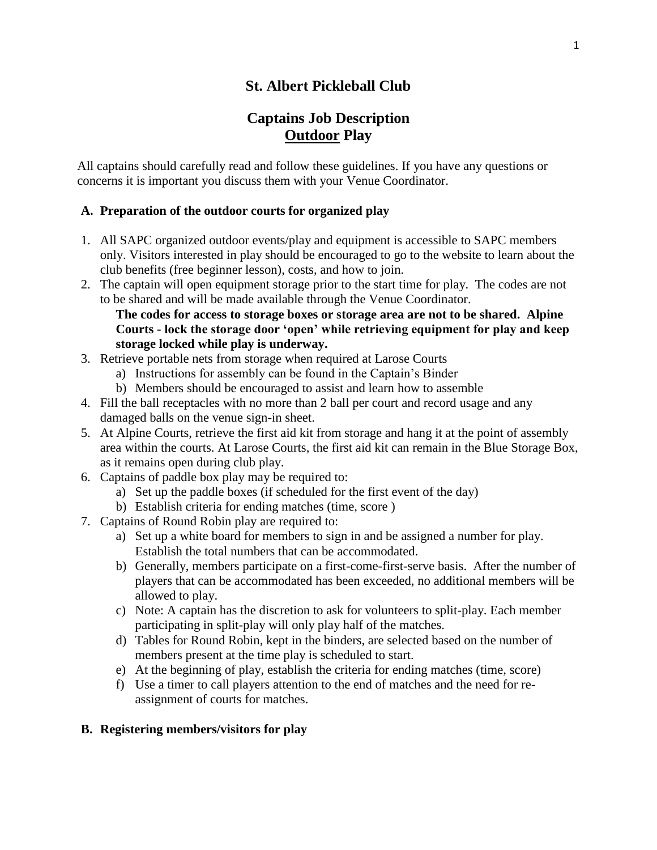# **St. Albert Pickleball Club**

# **Captains Job Description Outdoor Play**

All captains should carefully read and follow these guidelines. If you have any questions or concerns it is important you discuss them with your Venue Coordinator.

### **A. Preparation of the outdoor courts for organized play**

- 1. All SAPC organized outdoor events/play and equipment is accessible to SAPC members only. Visitors interested in play should be encouraged to go to the website to learn about the club benefits (free beginner lesson), costs, and how to join.
- 2. The captain will open equipment storage prior to the start time for play. The codes are not to be shared and will be made available through the Venue Coordinator.

### **The codes for access to storage boxes or storage area are not to be shared. Alpine Courts - lock the storage door 'open' while retrieving equipment for play and keep storage locked while play is underway.**

- 3. Retrieve portable nets from storage when required at Larose Courts
	- a) Instructions for assembly can be found in the Captain's Binder
	- b) Members should be encouraged to assist and learn how to assemble
- 4. Fill the ball receptacles with no more than 2 ball per court and record usage and any damaged balls on the venue sign-in sheet.
- 5. At Alpine Courts, retrieve the first aid kit from storage and hang it at the point of assembly area within the courts. At Larose Courts, the first aid kit can remain in the Blue Storage Box, as it remains open during club play.
- 6. Captains of paddle box play may be required to:
	- a) Set up the paddle boxes (if scheduled for the first event of the day)
	- b) Establish criteria for ending matches (time, score )
- 7. Captains of Round Robin play are required to:
	- a) Set up a white board for members to sign in and be assigned a number for play. Establish the total numbers that can be accommodated.
	- b) Generally, members participate on a first-come-first-serve basis. After the number of players that can be accommodated has been exceeded, no additional members will be allowed to play.
	- c) Note: A captain has the discretion to ask for volunteers to split-play. Each member participating in split-play will only play half of the matches.
	- d) Tables for Round Robin, kept in the binders, are selected based on the number of members present at the time play is scheduled to start.
	- e) At the beginning of play, establish the criteria for ending matches (time, score)
	- f) Use a timer to call players attention to the end of matches and the need for reassignment of courts for matches.

#### **B. Registering members/visitors for play**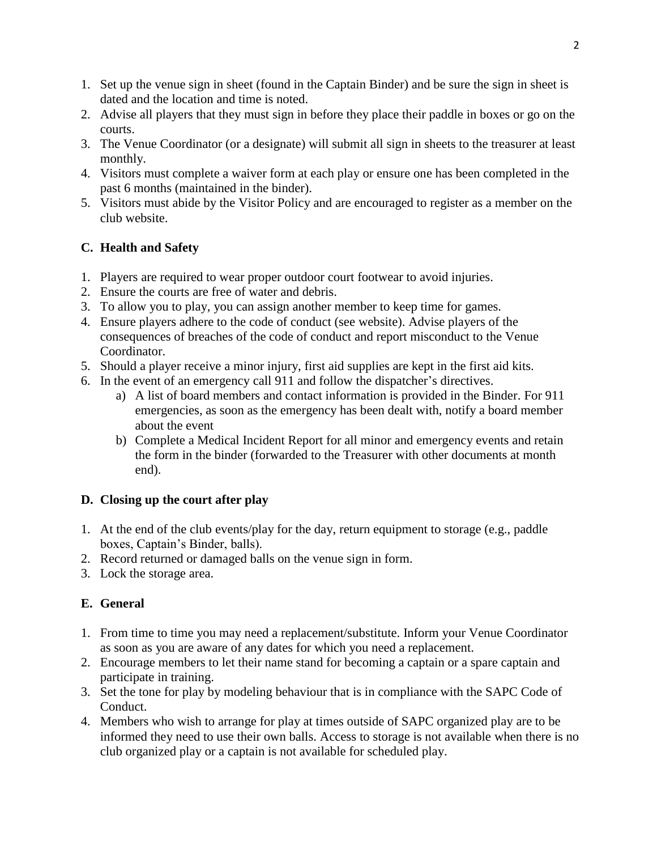- 1. Set up the venue sign in sheet (found in the Captain Binder) and be sure the sign in sheet is dated and the location and time is noted.
- 2. Advise all players that they must sign in before they place their paddle in boxes or go on the courts.
- 3. The Venue Coordinator (or a designate) will submit all sign in sheets to the treasurer at least monthly.
- 4. Visitors must complete a waiver form at each play or ensure one has been completed in the past 6 months (maintained in the binder).
- 5. Visitors must abide by the Visitor Policy and are encouraged to register as a member on the club website.

## **C. Health and Safety**

- 1. Players are required to wear proper outdoor court footwear to avoid injuries.
- 2. Ensure the courts are free of water and debris.
- 3. To allow you to play, you can assign another member to keep time for games.
- 4. Ensure players adhere to the code of conduct (see website). Advise players of the consequences of breaches of the code of conduct and report misconduct to the Venue Coordinator.
- 5. Should a player receive a minor injury, first aid supplies are kept in the first aid kits.
- 6. In the event of an emergency call 911 and follow the dispatcher's directives.
	- a) A list of board members and contact information is provided in the Binder. For 911 emergencies, as soon as the emergency has been dealt with, notify a board member about the event
	- b) Complete a Medical Incident Report for all minor and emergency events and retain the form in the binder (forwarded to the Treasurer with other documents at month end).

## **D. Closing up the court after play**

- 1. At the end of the club events/play for the day, return equipment to storage (e.g., paddle boxes, Captain's Binder, balls).
- 2. Record returned or damaged balls on the venue sign in form.
- 3. Lock the storage area.

## **E. General**

- 1. From time to time you may need a replacement/substitute. Inform your Venue Coordinator as soon as you are aware of any dates for which you need a replacement.
- 2. Encourage members to let their name stand for becoming a captain or a spare captain and participate in training.
- 3. Set the tone for play by modeling behaviour that is in compliance with the SAPC Code of Conduct.
- 4. Members who wish to arrange for play at times outside of SAPC organized play are to be informed they need to use their own balls. Access to storage is not available when there is no club organized play or a captain is not available for scheduled play.